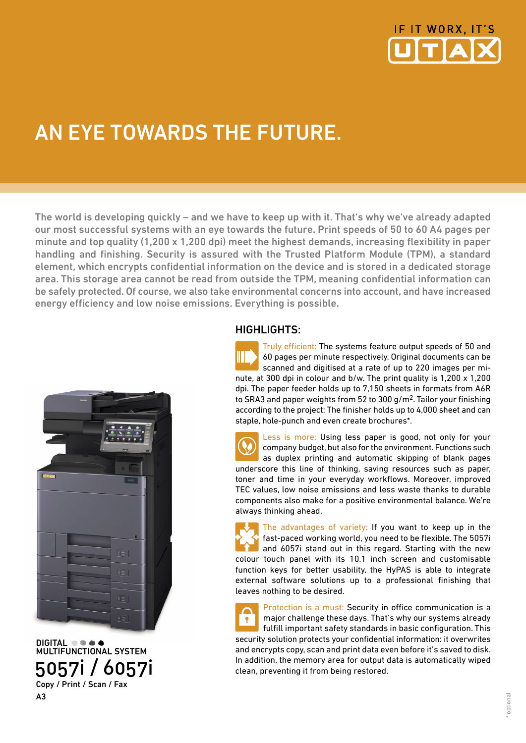

# AN EYE TOWARDS THE FUTURE.

The world is developing quickly – and we have to keep up with it. That's why we've already adapted our most successful systems with an eye towards the future. Print speeds of 50 to 60 A4 pages per minute and top quality  $(1,200 \times 1,200 \text{ d}p)$  meet the highest demands, increasing flexibility in paper handling and finishing. Security is assured with the Trusted Platform Module (TPM), a standard element, which encrypts confidential information on the device and is stored in a dedicated storage area. This storage area cannot be read from outside the TPM, meaning confidential information can be safely protected. Of course, we also take environmental concerns into account, and have increased energy efficiency and low noise emissions. Everything is possible.



DIGITAL **the ad**  MULTIFUNCTIONAL SYSTEM 5057i / 6057i Copy / Print / Scan / Fax A3

#### HIGHLIGHTS:

Truly efficient: The systems feature output speeds of 50 and 60 pages per minute respectively. Original documents can be scanned and digitised at a rate of up to 220 images per minute, at 300 dpi in colour and b/w. The print quality is 1,200 x 1,200 dpi. The paper feeder holds up to 7,150 sheets in formats from A6R to SRA3 and paper weights from 52 to 300 g/m2. Tailor your finishing according to the project: The finisher holds up to 4,000 sheet and can staple, hole-punch and even create brochures\*.

Less is more: Using less paper is good, not only for your company budget, but also for the environment. Functions such as duplex printing and automatic skipping of blank pages underscore this line of thinking, saving resources such as paper, toner and time in your everyday workflows. Moreover, improved TEC values, low noise emissions and less waste thanks to durable components also make for a positive environmental balance. We're always thinking ahead.

The advantages of variety: If you want to keep up in the fast-paced working world, you need to be flexible. The 5057i and 6057i stand out in this regard. Starting with the new colour touch panel with its 10.1 inch screen and customisable function keys for better usability, the HyPAS is able to integrate external software solutions up to a professional finishing that leaves nothing to be desired.

Protection is a must: Security in office communication is a major challenge these days. That's why our systems already  $\bullet$ fulfill important safety standards in basic configuration. This security solution protects your confidential information: it overwrites and encrypts copy, scan and print data even before it's saved to disk. In addition, the memory area for output data is automatically wiped clean, preventing it from being restored.